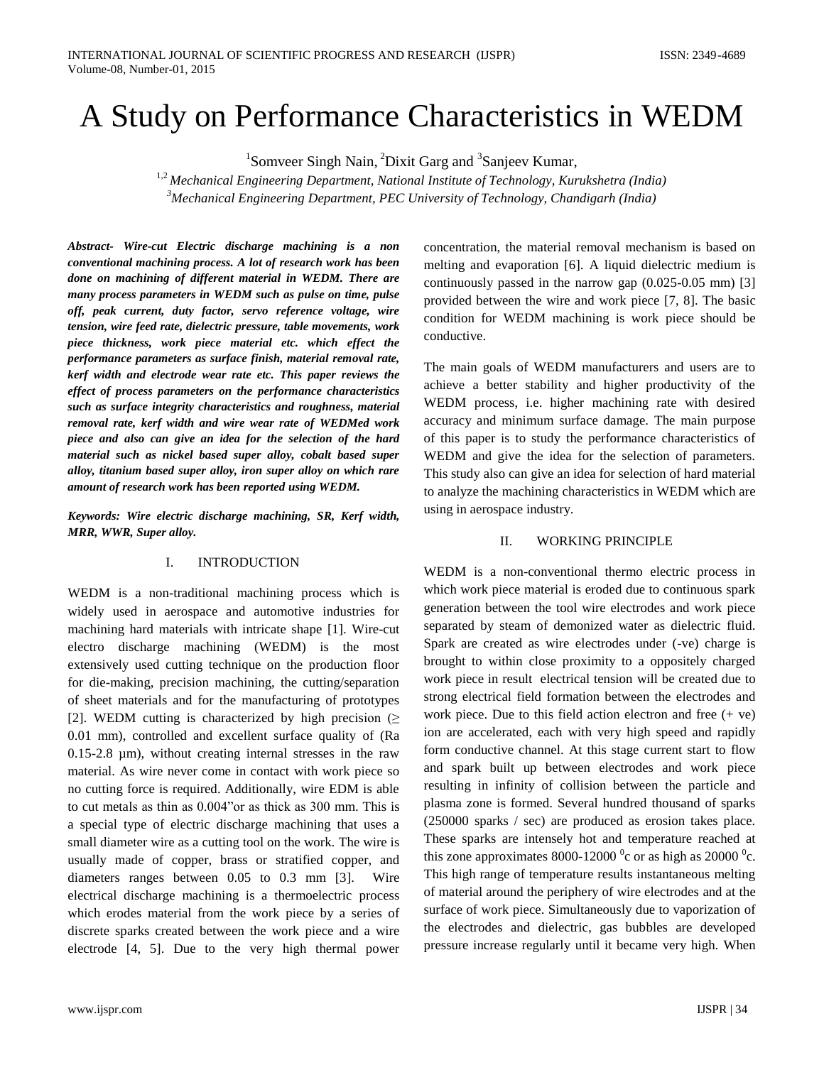# A Study on Performance Characteristics in WEDM

<sup>1</sup>Somveer Singh Nain, <sup>2</sup>Dixit Garg and <sup>3</sup>Sanjeev Kumar,

1,2 *Mechanical Engineering Department, National Institute of Technology, Kurukshetra (India) <sup>3</sup>Mechanical Engineering Department, PEC University of Technology, Chandigarh (India)*

*Abstract- Wire-cut Electric discharge machining is a non conventional machining process. A lot of research work has been done on machining of different material in WEDM. There are many process parameters in WEDM such as pulse on time, pulse off, peak current, duty factor, servo reference voltage, wire tension, wire feed rate, dielectric pressure, table movements, work piece thickness, work piece material etc. which effect the performance parameters as surface finish, material removal rate, kerf width and electrode wear rate etc. This paper reviews the effect of process parameters on the performance characteristics such as surface integrity characteristics and roughness, material removal rate, kerf width and wire wear rate of WEDMed work piece and also can give an idea for the selection of the hard material such as nickel based super alloy, cobalt based super alloy, titanium based super alloy, iron super alloy on which rare amount of research work has been reported using WEDM.* 

*Keywords: Wire electric discharge machining, SR, Kerf width, MRR, WWR, Super alloy.*

#### I. INTRODUCTION

WEDM is a non-traditional machining process which is widely used in aerospace and automotive industries for machining hard materials with intricate shape [1]. Wire-cut electro discharge machining (WEDM) is the most extensively used cutting technique on the production floor for die-making, precision machining, the cutting/separation of sheet materials and for the manufacturing of prototypes [2]. WEDM cutting is characterized by high precision ( $\geq$ 0.01 mm), controlled and excellent surface quality of (Ra 0.15-2.8 µm), without creating internal stresses in the raw material. As wire never come in contact with work piece so no cutting force is required. Additionally, wire EDM is able to cut metals as thin as 0.004"or as thick as 300 mm. This is a special type of electric discharge machining that uses a small diameter wire as a cutting tool on the work. The wire is usually made of copper, brass or stratified copper, and diameters ranges between 0.05 to 0.3 mm [3]. Wire electrical discharge machining is a thermoelectric process which erodes material from the work piece by a series of discrete sparks created between the work piece and a wire electrode [4, 5]. Due to the very high thermal power

concentration, the material removal mechanism is based on melting and evaporation [6]. A liquid dielectric medium is continuously passed in the narrow gap (0.025-0.05 mm) [3] provided between the wire and work piece [7, 8]. The basic condition for WEDM machining is work piece should be conductive.

The main goals of WEDM manufacturers and users are to achieve a better stability and higher productivity of the WEDM process, i.e. higher machining rate with desired accuracy and minimum surface damage. The main purpose of this paper is to study the performance characteristics of WEDM and give the idea for the selection of parameters. This study also can give an idea for selection of hard material to analyze the machining characteristics in WEDM which are using in aerospace industry.

#### II. WORKING PRINCIPLE

WEDM is a non-conventional thermo electric process in which work piece material is eroded due to continuous spark generation between the tool wire electrodes and work piece separated by steam of demonized water as dielectric fluid. Spark are created as wire electrodes under (-ve) charge is brought to within close proximity to a oppositely charged work piece in result electrical tension will be created due to strong electrical field formation between the electrodes and work piece. Due to this field action electron and free  $(+ve)$ ion are accelerated, each with very high speed and rapidly form conductive channel. At this stage current start to flow and spark built up between electrodes and work piece resulting in infinity of collision between the particle and plasma zone is formed. Several hundred thousand of sparks (250000 sparks / sec) are produced as erosion takes place. These sparks are intensely hot and temperature reached at this zone approximates 8000-12000  $\degree$ c or as high as 20000  $\degree$ c. This high range of temperature results instantaneous melting of material around the periphery of wire electrodes and at the surface of work piece. Simultaneously due to vaporization of the electrodes and dielectric, gas bubbles are developed pressure increase regularly until it became very high. When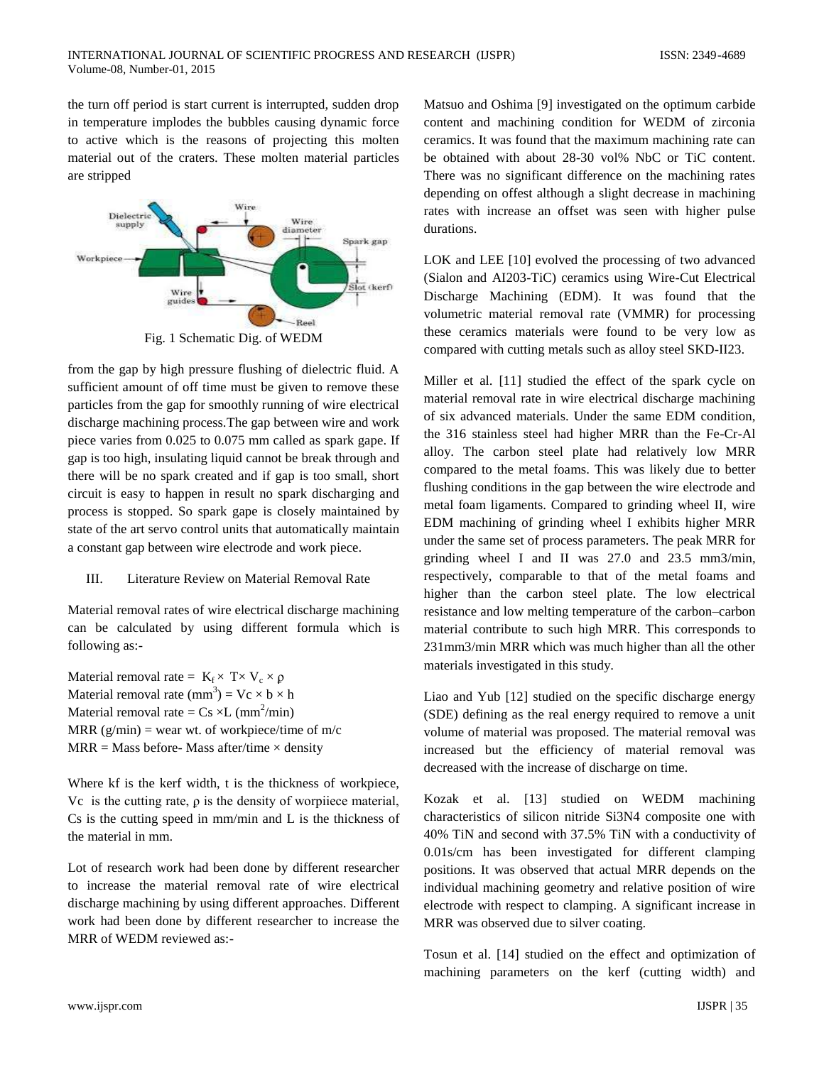the turn off period is start current is interrupted, sudden drop in temperature implodes the bubbles causing dynamic force to active which is the reasons of projecting this molten material out of the craters. These molten material particles are stripped



Fig. 1 Schematic Dig. of WEDM

from the gap by high pressure flushing of dielectric fluid. A sufficient amount of off time must be given to remove these particles from the gap for smoothly running of wire electrical discharge machining process.The gap between wire and work piece varies from 0.025 to 0.075 mm called as spark gape. If gap is too high, insulating liquid cannot be break through and there will be no spark created and if gap is too small, short circuit is easy to happen in result no spark discharging and process is stopped. So spark gape is closely maintained by state of the art servo control units that automatically maintain a constant gap between wire electrode and work piece.

## III. Literature Review on Material Removal Rate

Material removal rates of wire electrical discharge machining can be calculated by using different formula which is following as:-

Material removal rate =  $K_f \times T \times V_c \times \rho$ Material removal rate  $(mm^3) = Vc \times b \times h$ Material removal rate =  $Cs \times L$  (mm<sup>2</sup>/min) MRR  $(g/min)$  = wear wt. of workpiece/time of m/c  $MRR = Mass$  before-Mass after/time  $\times$  density

Where kf is the kerf width, t is the thickness of workpiece, Vc is the cutting rate,  $\rho$  is the density of worpiiece material, Cs is the cutting speed in mm/min and L is the thickness of the material in mm.

Lot of research work had been done by different researcher to increase the material removal rate of wire electrical discharge machining by using different approaches. Different work had been done by different researcher to increase the MRR of WEDM reviewed as:-

Matsuo and Oshima [9] investigated on the optimum carbide content and machining condition for WEDM of zirconia ceramics. It was found that the maximum machining rate can be obtained with about 28-30 vol% NbC or TiC content. There was no significant difference on the machining rates depending on offest although a slight decrease in machining rates with increase an offset was seen with higher pulse durations.

LOK and LEE [10] evolved the processing of two advanced (Sialon and AI203-TiC) ceramics using Wire-Cut Electrical Discharge Machining (EDM). It was found that the volumetric material removal rate (VMMR) for processing these ceramics materials were found to be very low as compared with cutting metals such as alloy steel SKD-II23.

Miller et al. [11] studied the effect of the spark cycle on material removal rate in wire electrical discharge machining of six advanced materials. Under the same EDM condition, the 316 stainless steel had higher MRR than the Fe-Cr-Al alloy. The carbon steel plate had relatively low MRR compared to the metal foams. This was likely due to better flushing conditions in the gap between the wire electrode and metal foam ligaments. Compared to grinding wheel II, wire EDM machining of grinding wheel I exhibits higher MRR under the same set of process parameters. The peak MRR for grinding wheel I and II was 27.0 and 23.5 mm3/min, respectively, comparable to that of the metal foams and higher than the carbon steel plate. The low electrical resistance and low melting temperature of the carbon–carbon material contribute to such high MRR. This corresponds to 231mm3/min MRR which was much higher than all the other materials investigated in this study.

Liao and Yub [12] studied on the specific discharge energy (SDE) defining as the real energy required to remove a unit volume of material was proposed. The material removal was increased but the efficiency of material removal was decreased with the increase of discharge on time.

Kozak et al. [13] studied on WEDM machining characteristics of silicon nitride Si3N4 composite one with 40% TiN and second with 37.5% TiN with a conductivity of 0.01s/cm has been investigated for different clamping positions. It was observed that actual MRR depends on the individual machining geometry and relative position of wire electrode with respect to clamping. A significant increase in MRR was observed due to silver coating.

Tosun et al. [14] studied on the effect and optimization of machining parameters on the kerf (cutting width) and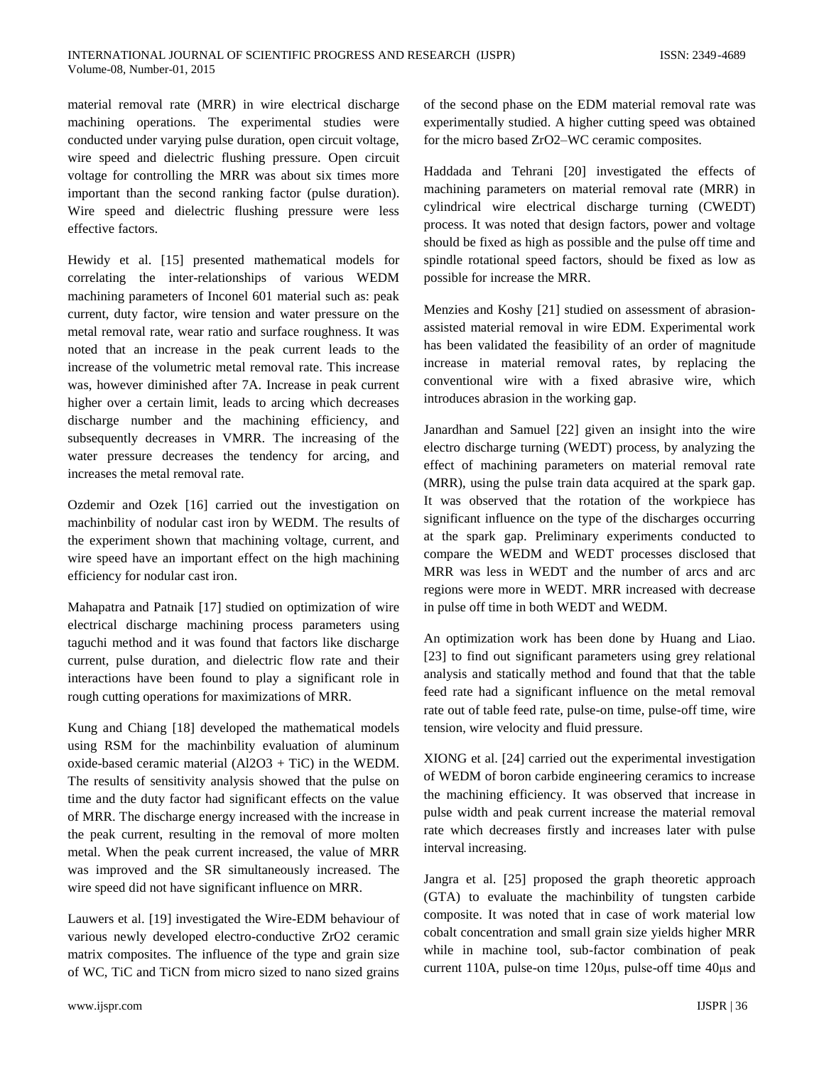material removal rate (MRR) in wire electrical discharge machining operations. The experimental studies were conducted under varying pulse duration, open circuit voltage, wire speed and dielectric flushing pressure. Open circuit voltage for controlling the MRR was about six times more important than the second ranking factor (pulse duration). Wire speed and dielectric flushing pressure were less effective factors.

Hewidy et al. [15] presented mathematical models for correlating the inter-relationships of various WEDM machining parameters of Inconel 601 material such as: peak current, duty factor, wire tension and water pressure on the metal removal rate, wear ratio and surface roughness. It was noted that an increase in the peak current leads to the increase of the volumetric metal removal rate. This increase was, however diminished after 7A. Increase in peak current higher over a certain limit, leads to arcing which decreases discharge number and the machining efficiency, and subsequently decreases in VMRR. The increasing of the water pressure decreases the tendency for arcing, and increases the metal removal rate.

Ozdemir and Ozek [16] carried out the investigation on machinbility of nodular cast iron by WEDM. The results of the experiment shown that machining voltage, current, and wire speed have an important effect on the high machining efficiency for nodular cast iron.

Mahapatra and Patnaik [17] studied on optimization of wire electrical discharge machining process parameters using taguchi method and it was found that factors like discharge current, pulse duration, and dielectric flow rate and their interactions have been found to play a significant role in rough cutting operations for maximizations of MRR.

Kung and Chiang [18] developed the mathematical models using RSM for the machinbility evaluation of aluminum oxide-based ceramic material  $(A12O3 + TiC)$  in the WEDM. The results of sensitivity analysis showed that the pulse on time and the duty factor had significant effects on the value of MRR. The discharge energy increased with the increase in the peak current, resulting in the removal of more molten metal. When the peak current increased, the value of MRR was improved and the SR simultaneously increased. The wire speed did not have significant influence on MRR.

Lauwers et al. [19] investigated the Wire-EDM behaviour of various newly developed electro-conductive ZrO2 ceramic matrix composites. The influence of the type and grain size of WC, TiC and TiCN from micro sized to nano sized grains

www.ijspr.com IJSPR | 36

of the second phase on the EDM material removal rate was experimentally studied. A higher cutting speed was obtained for the micro based ZrO2–WC ceramic composites.

Haddada and Tehrani [20] investigated the effects of machining parameters on material removal rate (MRR) in cylindrical wire electrical discharge turning (CWEDT) process. It was noted that design factors, power and voltage should be fixed as high as possible and the pulse off time and spindle rotational speed factors, should be fixed as low as possible for increase the MRR.

Menzies and Koshy [21] studied on assessment of abrasionassisted material removal in wire EDM. Experimental work has been validated the feasibility of an order of magnitude increase in material removal rates, by replacing the conventional wire with a fixed abrasive wire, which introduces abrasion in the working gap.

Janardhan and Samuel [22] given an insight into the wire electro discharge turning (WEDT) process, by analyzing the effect of machining parameters on material removal rate (MRR), using the pulse train data acquired at the spark gap. It was observed that the rotation of the workpiece has significant influence on the type of the discharges occurring at the spark gap. Preliminary experiments conducted to compare the WEDM and WEDT processes disclosed that MRR was less in WEDT and the number of arcs and arc regions were more in WEDT. MRR increased with decrease in pulse off time in both WEDT and WEDM.

An optimization work has been done by Huang and Liao. [23] to find out significant parameters using grey relational analysis and statically method and found that that the table feed rate had a significant influence on the metal removal rate out of table feed rate, pulse-on time, pulse-off time, wire tension, wire velocity and fluid pressure.

XIONG et al. [24] carried out the experimental investigation of WEDM of boron carbide engineering ceramics to increase the machining efficiency. It was observed that increase in pulse width and peak current increase the material removal rate which decreases firstly and increases later with pulse interval increasing.

Jangra et al. [25] proposed the graph theoretic approach (GTA) to evaluate the machinbility of tungsten carbide composite. It was noted that in case of work material low cobalt concentration and small grain size yields higher MRR while in machine tool, sub-factor combination of peak current 110A, pulse-on time 120μs, pulse-off time 40μs and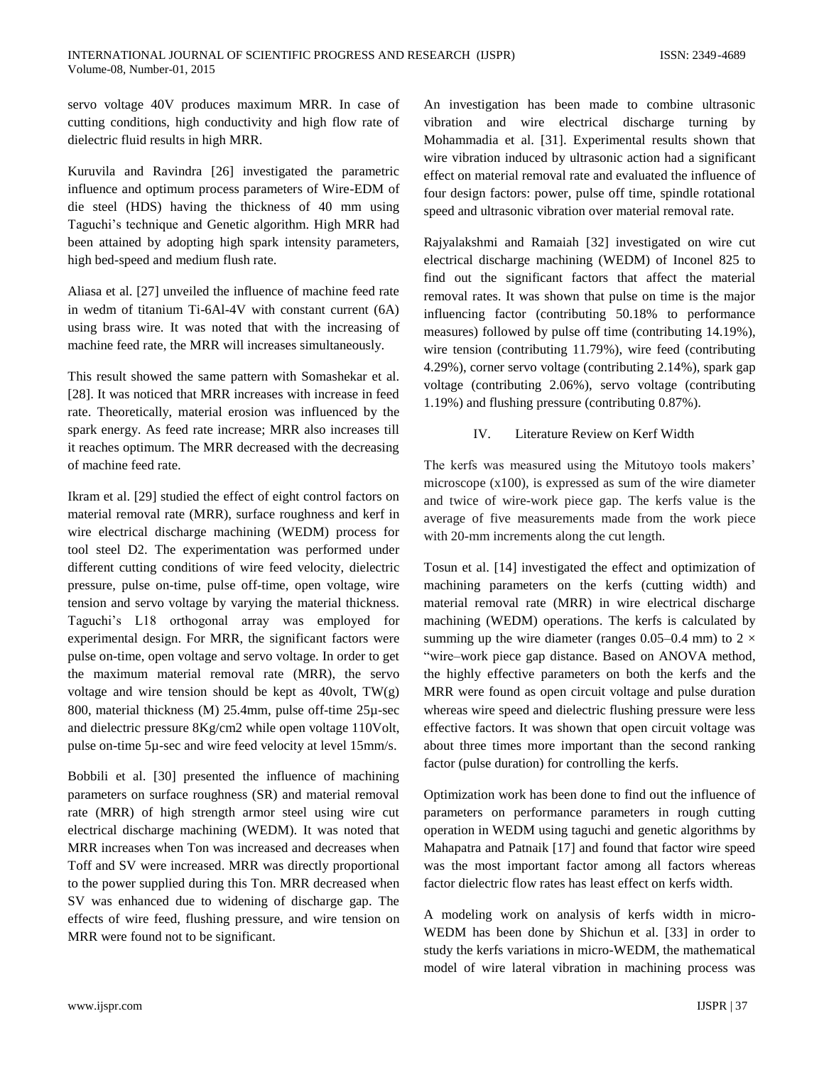servo voltage 40V produces maximum MRR. In case of cutting conditions, high conductivity and high flow rate of dielectric fluid results in high MRR.

Kuruvila and Ravindra [26] investigated the parametric influence and optimum process parameters of Wire-EDM of die steel (HDS) having the thickness of 40 mm using Taguchi's technique and Genetic algorithm. High MRR had been attained by adopting high spark intensity parameters, high bed-speed and medium flush rate.

Aliasa et al. [27] unveiled the influence of machine feed rate in wedm of titanium Ti-6Al-4V with constant current (6A) using brass wire. It was noted that with the increasing of machine feed rate, the MRR will increases simultaneously.

This result showed the same pattern with Somashekar et al. [28]. It was noticed that MRR increases with increase in feed rate. Theoretically, material erosion was influenced by the spark energy. As feed rate increase; MRR also increases till it reaches optimum. The MRR decreased with the decreasing of machine feed rate.

Ikram et al. [29] studied the effect of eight control factors on material removal rate (MRR), surface roughness and kerf in wire electrical discharge machining (WEDM) process for tool steel D2. The experimentation was performed under different cutting conditions of wire feed velocity, dielectric pressure, pulse on-time, pulse off-time, open voltage, wire tension and servo voltage by varying the material thickness. Taguchi's L18 orthogonal array was employed for experimental design. For MRR, the significant factors were pulse on-time, open voltage and servo voltage. In order to get the maximum material removal rate (MRR), the servo voltage and wire tension should be kept as  $40$ volt, TW $(g)$ 800, material thickness (M) 25.4mm, pulse off-time 25µ-sec and dielectric pressure 8Kg/cm2 while open voltage 110Volt, pulse on-time 5µ-sec and wire feed velocity at level 15mm/s.

Bobbili et al. [30] presented the influence of machining parameters on surface roughness (SR) and material removal rate (MRR) of high strength armor steel using wire cut electrical discharge machining (WEDM). It was noted that MRR increases when Ton was increased and decreases when Toff and SV were increased. MRR was directly proportional to the power supplied during this Ton. MRR decreased when SV was enhanced due to widening of discharge gap. The effects of wire feed, flushing pressure, and wire tension on MRR were found not to be significant.

An investigation has been made to combine ultrasonic vibration and wire electrical discharge turning by Mohammadia et al. [31]. Experimental results shown that wire vibration induced by ultrasonic action had a significant effect on material removal rate and evaluated the influence of four design factors: power, pulse off time, spindle rotational speed and ultrasonic vibration over material removal rate.

Rajyalakshmi and Ramaiah [32] investigated on wire cut electrical discharge machining (WEDM) of Inconel 825 to find out the significant factors that affect the material removal rates. It was shown that pulse on time is the major influencing factor (contributing 50.18% to performance measures) followed by pulse off time (contributing 14.19%), wire tension (contributing 11.79%), wire feed (contributing 4.29%), corner servo voltage (contributing 2.14%), spark gap voltage (contributing 2.06%), servo voltage (contributing 1.19%) and flushing pressure (contributing 0.87%).

#### IV. Literature Review on Kerf Width

The kerfs was measured using the Mitutoyo tools makers' microscope (x100), is expressed as sum of the wire diameter and twice of wire-work piece gap. The kerfs value is the average of five measurements made from the work piece with 20-mm increments along the cut length.

Tosun et al. [14] investigated the effect and optimization of machining parameters on the kerfs (cutting width) and material removal rate (MRR) in wire electrical discharge machining (WEDM) operations. The kerfs is calculated by summing up the wire diameter (ranges 0.05–0.4 mm) to 2  $\times$ "wire–work piece gap distance. Based on ANOVA method, the highly effective parameters on both the kerfs and the MRR were found as open circuit voltage and pulse duration whereas wire speed and dielectric flushing pressure were less effective factors. It was shown that open circuit voltage was about three times more important than the second ranking factor (pulse duration) for controlling the kerfs.

Optimization work has been done to find out the influence of parameters on performance parameters in rough cutting operation in WEDM using taguchi and genetic algorithms by Mahapatra and Patnaik [17] and found that factor wire speed was the most important factor among all factors whereas factor dielectric flow rates has least effect on kerfs width.

A modeling work on analysis of kerfs width in micro-WEDM has been done by Shichun et al. [33] in order to study the kerfs variations in micro-WEDM, the mathematical model of wire lateral vibration in machining process was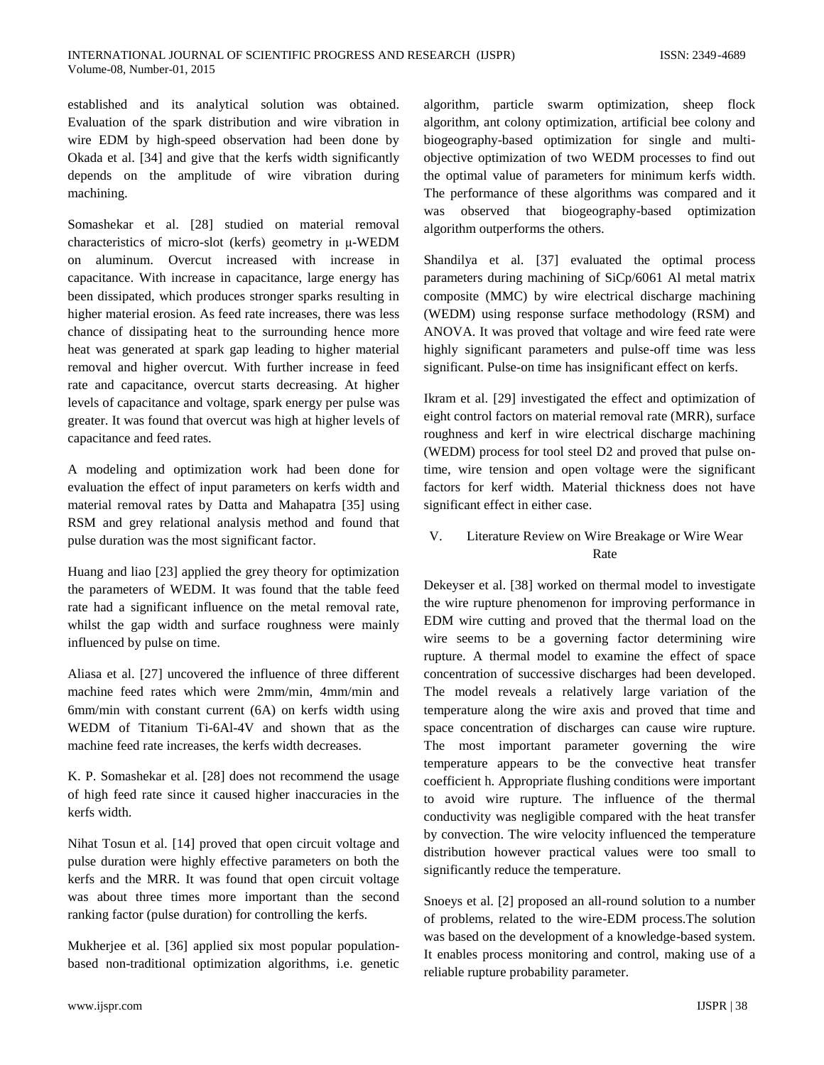established and its analytical solution was obtained. Evaluation of the spark distribution and wire vibration in wire EDM by high-speed observation had been done by Okada et al. [34] and give that the kerfs width significantly depends on the amplitude of wire vibration during machining.

Somashekar et al. [28] studied on material removal characteristics of micro-slot (kerfs) geometry in μ-WEDM on aluminum. Overcut increased with increase in capacitance. With increase in capacitance, large energy has been dissipated, which produces stronger sparks resulting in higher material erosion. As feed rate increases, there was less chance of dissipating heat to the surrounding hence more heat was generated at spark gap leading to higher material removal and higher overcut. With further increase in feed rate and capacitance, overcut starts decreasing. At higher levels of capacitance and voltage, spark energy per pulse was greater. It was found that overcut was high at higher levels of capacitance and feed rates.

A modeling and optimization work had been done for evaluation the effect of input parameters on kerfs width and material removal rates by Datta and Mahapatra [35] using RSM and grey relational analysis method and found that pulse duration was the most significant factor.

Huang and liao [23] applied the grey theory for optimization the parameters of WEDM. It was found that the table feed rate had a significant influence on the metal removal rate, whilst the gap width and surface roughness were mainly influenced by pulse on time.

Aliasa et al. [27] uncovered the influence of three different machine feed rates which were 2mm/min, 4mm/min and 6mm/min with constant current (6A) on kerfs width using WEDM of Titanium Ti-6Al-4V and shown that as the machine feed rate increases, the kerfs width decreases.

K. P. Somashekar et al. [28] does not recommend the usage of high feed rate since it caused higher inaccuracies in the kerfs width.

Nihat Tosun et al. [14] proved that open circuit voltage and pulse duration were highly effective parameters on both the kerfs and the MRR. It was found that open circuit voltage was about three times more important than the second ranking factor (pulse duration) for controlling the kerfs.

Mukherjee et al. [36] applied six most popular populationbased non-traditional optimization algorithms, i.e. genetic algorithm, particle swarm optimization, sheep flock algorithm, ant colony optimization, artificial bee colony and biogeography-based optimization for single and multiobjective optimization of two WEDM processes to find out the optimal value of parameters for minimum kerfs width. The performance of these algorithms was compared and it was observed that biogeography-based optimization algorithm outperforms the others.

Shandilya et al. [37] evaluated the optimal process parameters during machining of SiCp/6061 Al metal matrix composite (MMC) by wire electrical discharge machining (WEDM) using response surface methodology (RSM) and ANOVA. It was proved that voltage and wire feed rate were highly significant parameters and pulse-off time was less significant. Pulse-on time has insignificant effect on kerfs.

Ikram et al. [29] investigated the effect and optimization of eight control factors on material removal rate (MRR), surface roughness and kerf in wire electrical discharge machining (WEDM) process for tool steel D2 and proved that pulse ontime, wire tension and open voltage were the significant factors for kerf width. Material thickness does not have significant effect in either case.

# V. Literature Review on Wire Breakage or Wire Wear Rate

Dekeyser et al. [38] worked on thermal model to investigate the wire rupture phenomenon for improving performance in EDM wire cutting and proved that the thermal load on the wire seems to be a governing factor determining wire rupture. A thermal model to examine the effect of space concentration of successive discharges had been developed. The model reveals a relatively large variation of the temperature along the wire axis and proved that time and space concentration of discharges can cause wire rupture. The most important parameter governing the wire temperature appears to be the convective heat transfer coefficient h. Appropriate flushing conditions were important to avoid wire rupture. The influence of the thermal conductivity was negligible compared with the heat transfer by convection. The wire velocity influenced the temperature distribution however practical values were too small to significantly reduce the temperature.

Snoeys et al. [2] proposed an all-round solution to a number of problems, related to the wire-EDM process.The solution was based on the development of a knowledge-based system. It enables process monitoring and control, making use of a reliable rupture probability parameter.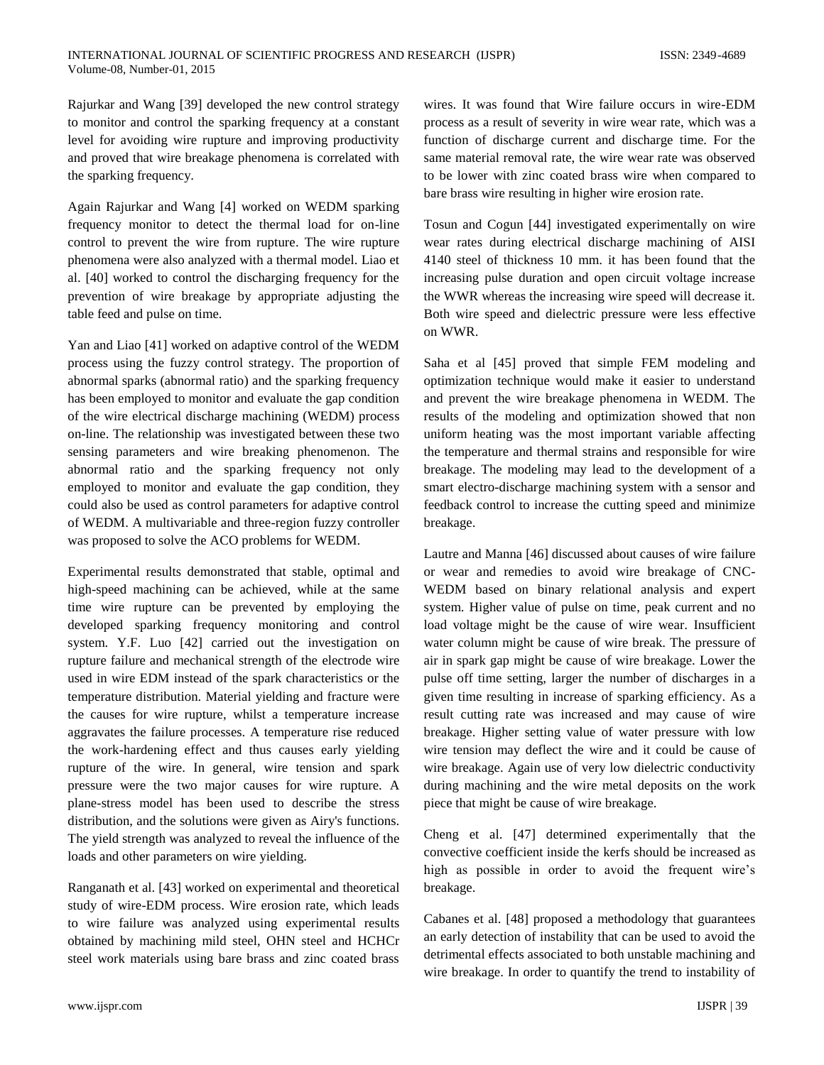Rajurkar and Wang [39] developed the new control strategy to monitor and control the sparking frequency at a constant level for avoiding wire rupture and improving productivity and proved that wire breakage phenomena is correlated with the sparking frequency.

Again Rajurkar and Wang [4] worked on WEDM sparking frequency monitor to detect the thermal load for on-line control to prevent the wire from rupture. The wire rupture phenomena were also analyzed with a thermal model. Liao et al. [40] worked to control the discharging frequency for the prevention of wire breakage by appropriate adjusting the table feed and pulse on time.

Yan and Liao [41] worked on adaptive control of the WEDM process using the fuzzy control strategy. The proportion of abnormal sparks (abnormal ratio) and the sparking frequency has been employed to monitor and evaluate the gap condition of the wire electrical discharge machining (WEDM) process on-line. The relationship was investigated between these two sensing parameters and wire breaking phenomenon. The abnormal ratio and the sparking frequency not only employed to monitor and evaluate the gap condition, they could also be used as control parameters for adaptive control of WEDM. A multivariable and three-region fuzzy controller was proposed to solve the ACO problems for WEDM.

Experimental results demonstrated that stable, optimal and high-speed machining can be achieved, while at the same time wire rupture can be prevented by employing the developed sparking frequency monitoring and control system. Y.F. Luo [42] carried out the investigation on rupture failure and mechanical strength of the electrode wire used in wire EDM instead of the spark characteristics or the temperature distribution. Material yielding and fracture were the causes for wire rupture, whilst a temperature increase aggravates the failure processes. A temperature rise reduced the work-hardening effect and thus causes early yielding rupture of the wire. In general, wire tension and spark pressure were the two major causes for wire rupture. A plane-stress model has been used to describe the stress distribution, and the solutions were given as Airy's functions. The yield strength was analyzed to reveal the influence of the loads and other parameters on wire yielding.

Ranganath et al. [43] worked on experimental and theoretical study of wire-EDM process. Wire erosion rate, which leads to wire failure was analyzed using experimental results obtained by machining mild steel, OHN steel and HCHCr steel work materials using bare brass and zinc coated brass

wires. It was found that Wire failure occurs in wire-EDM process as a result of severity in wire wear rate, which was a function of discharge current and discharge time. For the same material removal rate, the wire wear rate was observed to be lower with zinc coated brass wire when compared to bare brass wire resulting in higher wire erosion rate.

Tosun and Cogun [44] investigated experimentally on wire wear rates during electrical discharge machining of AISI 4140 steel of thickness 10 mm. it has been found that the increasing pulse duration and open circuit voltage increase the WWR whereas the increasing wire speed will decrease it. Both wire speed and dielectric pressure were less effective on WWR.

Saha et al [45] proved that simple FEM modeling and optimization technique would make it easier to understand and prevent the wire breakage phenomena in WEDM. The results of the modeling and optimization showed that non uniform heating was the most important variable affecting the temperature and thermal strains and responsible for wire breakage. The modeling may lead to the development of a smart electro-discharge machining system with a sensor and feedback control to increase the cutting speed and minimize breakage.

Lautre and Manna [46] discussed about causes of wire failure or wear and remedies to avoid wire breakage of CNC-WEDM based on binary relational analysis and expert system. Higher value of pulse on time, peak current and no load voltage might be the cause of wire wear. Insufficient water column might be cause of wire break. The pressure of air in spark gap might be cause of wire breakage. Lower the pulse off time setting, larger the number of discharges in a given time resulting in increase of sparking efficiency. As a result cutting rate was increased and may cause of wire breakage. Higher setting value of water pressure with low wire tension may deflect the wire and it could be cause of wire breakage. Again use of very low dielectric conductivity during machining and the wire metal deposits on the work piece that might be cause of wire breakage.

Cheng et al. [47] determined experimentally that the convective coefficient inside the kerfs should be increased as high as possible in order to avoid the frequent wire's breakage.

Cabanes et al. [48] proposed a methodology that guarantees an early detection of instability that can be used to avoid the detrimental effects associated to both unstable machining and wire breakage. In order to quantify the trend to instability of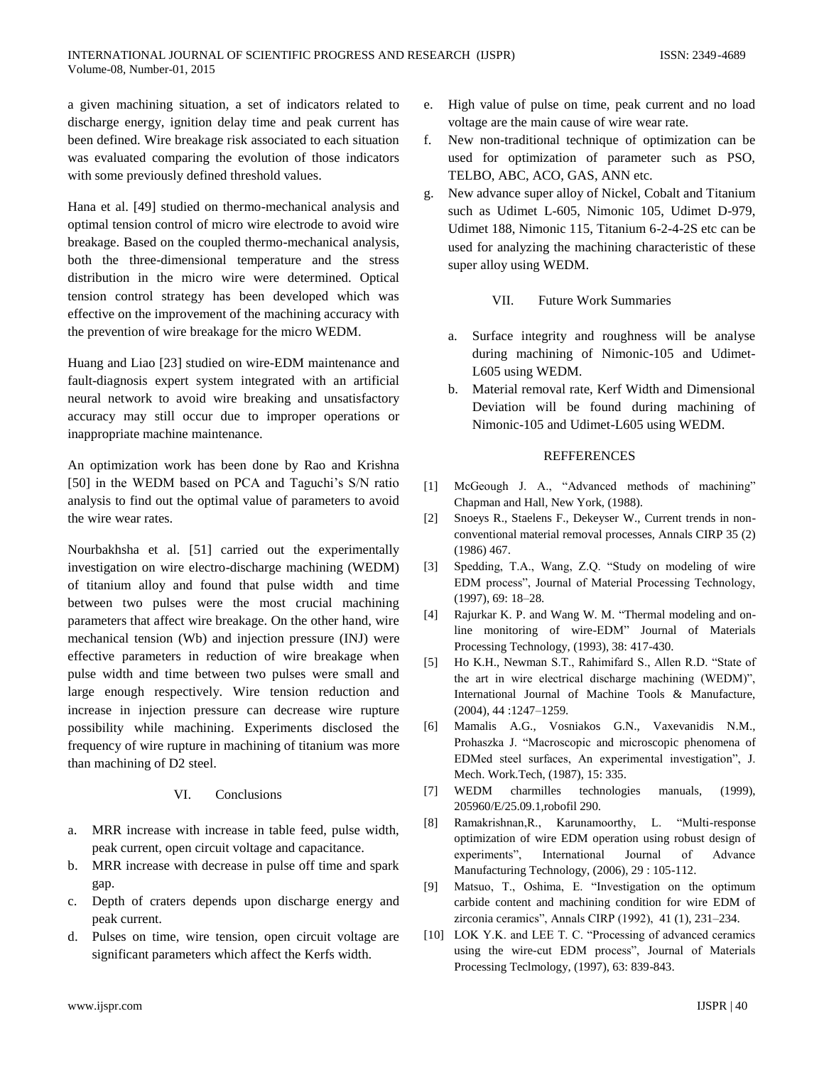a given machining situation, a set of indicators related to discharge energy, ignition delay time and peak current has been defined. Wire breakage risk associated to each situation was evaluated comparing the evolution of those indicators with some previously defined threshold values.

Hana et al. [49] studied on thermo-mechanical analysis and optimal tension control of micro wire electrode to avoid wire breakage. Based on the coupled thermo-mechanical analysis, both the three-dimensional temperature and the stress distribution in the micro wire were determined. Optical tension control strategy has been developed which was effective on the improvement of the machining accuracy with the prevention of wire breakage for the micro WEDM.

Huang and Liao [23] studied on wire-EDM maintenance and fault-diagnosis expert system integrated with an artificial neural network to avoid wire breaking and unsatisfactory accuracy may still occur due to improper operations or inappropriate machine maintenance.

An optimization work has been done by Rao and Krishna [50] in the WEDM based on PCA and Taguchi's S/N ratio analysis to find out the optimal value of parameters to avoid the wire wear rates.

Nourbakhsha et al. [51] carried out the experimentally investigation on wire electro-discharge machining (WEDM) of titanium alloy and found that pulse width and time between two pulses were the most crucial machining parameters that affect wire breakage. On the other hand, wire mechanical tension (Wb) and injection pressure (INJ) were effective parameters in reduction of wire breakage when pulse width and time between two pulses were small and large enough respectively. Wire tension reduction and increase in injection pressure can decrease wire rupture possibility while machining. Experiments disclosed the frequency of wire rupture in machining of titanium was more than machining of D2 steel.

#### VI. Conclusions

- a. MRR increase with increase in table feed, pulse width, peak current, open circuit voltage and capacitance.
- b. MRR increase with decrease in pulse off time and spark gap.
- c. Depth of craters depends upon discharge energy and peak current.
- d. Pulses on time, wire tension, open circuit voltage are significant parameters which affect the Kerfs width.
- e. High value of pulse on time, peak current and no load voltage are the main cause of wire wear rate.
- f. New non-traditional technique of optimization can be used for optimization of parameter such as PSO, TELBO, ABC, ACO, GAS, ANN etc.
- g. New advance super alloy of Nickel, Cobalt and Titanium such as Udimet L-605, Nimonic 105, Udimet D-979, Udimet 188, Nimonic 115, Titanium 6-2-4-2S etc can be used for analyzing the machining characteristic of these super alloy using WEDM.
	- VII. Future Work Summaries
	- a. Surface integrity and roughness will be analyse during machining of Nimonic-105 and Udimet-L605 using WEDM.
	- b. Material removal rate, Kerf Width and Dimensional Deviation will be found during machining of Nimonic-105 and Udimet-L605 using WEDM.

## REFFERENCES

- [1] McGeough J. A., "Advanced methods of machining" Chapman and Hall, New York, (1988).
- [2] Snoeys R., Staelens F., Dekeyser W., Current trends in nonconventional material removal processes, Annals CIRP 35 (2) (1986) 467.
- [3] Spedding, T.A., Wang, Z.Q. "Study on modeling of wire EDM process", Journal of Material Processing Technology, (1997), 69: 18–28.
- [4] Rajurkar K. P. and Wang W. M. "Thermal modeling and online monitoring of wire-EDM" Journal of Materials Processing Technology, (1993), 38: 417-430.
- [5] Ho K.H., Newman S.T., Rahimifard S., Allen R.D. "State of the art in wire electrical discharge machining (WEDM)", International Journal of Machine Tools & Manufacture, (2004), 44 :1247–1259.
- [6] Mamalis A.G., Vosniakos G.N., Vaxevanidis N.M., Prohaszka J. "Macroscopic and microscopic phenomena of EDMed steel surfaces, An experimental investigation", J. Mech. Work.Tech, (1987), 15: 335.
- [7] WEDM charmilles technologies manuals, (1999), 205960/E/25.09.1,robofil 290.
- [8] Ramakrishnan,R., Karunamoorthy, L. "Multi-response optimization of wire EDM operation using robust design of experiments", International Journal of Advance Manufacturing Technology, (2006), 29 : 105-112.
- [9] Matsuo, T., Oshima, E. "Investigation on the optimum carbide content and machining condition for wire EDM of zirconia ceramics", Annals CIRP (1992), 41 (1), 231–234.
- [10] LOK Y.K. and LEE T. C. "Processing of advanced ceramics using the wire-cut EDM process", Journal of Materials Processing Teclmology, (1997), 63: 839-843.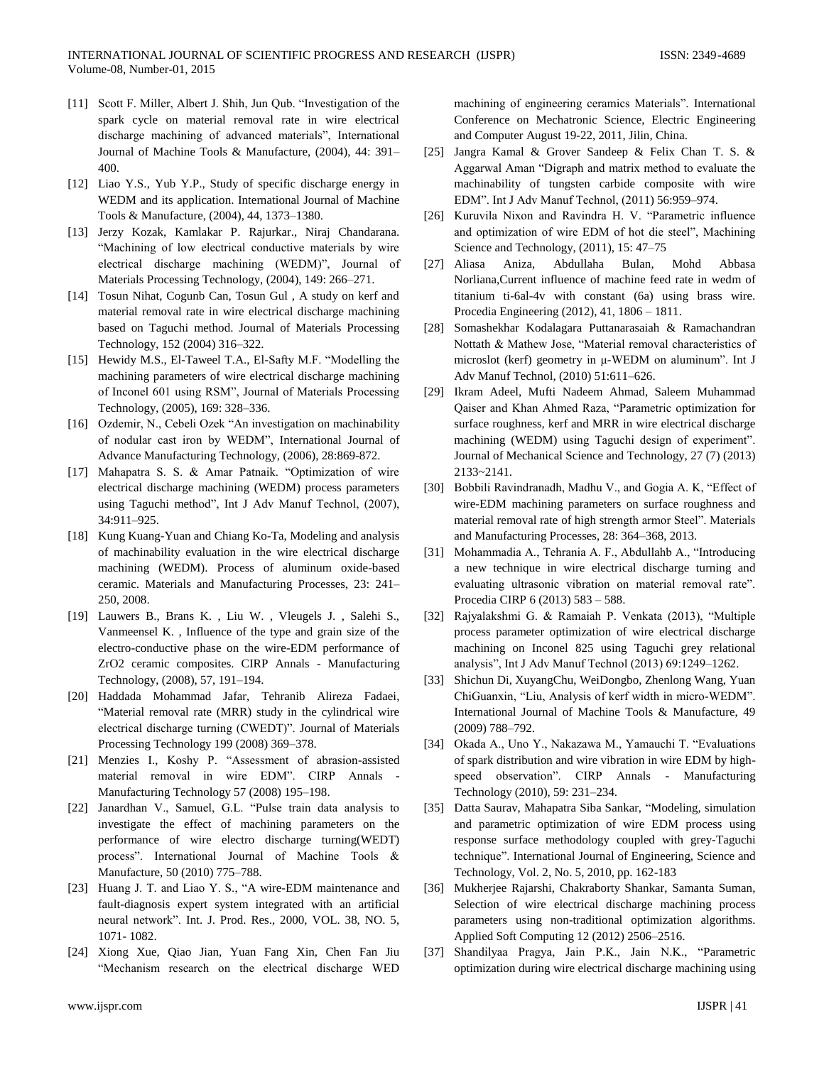- [11] Scott F. Miller, Albert J. Shih, Jun Qub. "Investigation of the spark cycle on material removal rate in wire electrical discharge machining of advanced materials", International Journal of Machine Tools & Manufacture, (2004), 44: 391– 400.
- [12] Liao Y.S., Yub Y.P., Study of specific discharge energy in WEDM and its application. International Journal of Machine Tools & Manufacture, (2004), 44, 1373–1380.
- [13] Jerzy Kozak, Kamlakar P. Rajurkar., Niraj Chandarana. "Machining of low electrical conductive materials by wire electrical discharge machining (WEDM)", Journal of Materials Processing Technology, (2004), 149: 266–271.
- [14] Tosun Nihat, Cogunb Can, Tosun Gul , A study on kerf and material removal rate in wire electrical discharge machining based on Taguchi method. Journal of Materials Processing Technology, 152 (2004) 316–322.
- [15] Hewidy M.S., El-Taweel T.A., El-Safty M.F. "Modelling the machining parameters of wire electrical discharge machining of Inconel 601 using RSM", Journal of Materials Processing Technology, (2005), 169: 328–336.
- [16] Ozdemir, N., Cebeli Ozek "An investigation on machinability of nodular cast iron by WEDM", International Journal of Advance Manufacturing Technology, (2006), 28:869-872.
- [17] Mahapatra S. S. & Amar Patnaik. "Optimization of wire electrical discharge machining (WEDM) process parameters using Taguchi method", Int J Adv Manuf Technol, (2007), 34:911–925.
- [18] Kung Kuang-Yuan and Chiang Ko-Ta, Modeling and analysis of machinability evaluation in the wire electrical discharge machining (WEDM). Process of aluminum oxide-based ceramic. Materials and Manufacturing Processes, 23: 241– 250, 2008.
- [19] Lauwers B., Brans K. , Liu W. , Vleugels J. , Salehi S., Vanmeensel K. , Influence of the type and grain size of the electro-conductive phase on the wire-EDM performance of ZrO2 ceramic composites. CIRP Annals - Manufacturing Technology, (2008), 57, 191–194.
- [20] Haddada Mohammad Jafar, Tehranib Alireza Fadaei, "Material removal rate (MRR) study in the cylindrical wire electrical discharge turning (CWEDT)". Journal of Materials Processing Technology 199 (2008) 369–378.
- [21] Menzies I., Koshy P. "Assessment of abrasion-assisted material removal in wire EDM". CIRP Annals - Manufacturing Technology 57 (2008) 195–198.
- [22] Janardhan V., Samuel, G.L. "Pulse train data analysis to investigate the effect of machining parameters on the performance of wire electro discharge turning(WEDT) process". International Journal of Machine Tools & Manufacture, 50 (2010) 775–788.
- [23] Huang J. T. and Liao Y. S., "A wire-EDM maintenance and fault-diagnosis expert system integrated with an artificial neural network". Int. J. Prod. Res., 2000, VOL. 38, NO. 5, 1071- 1082.
- [24] Xiong Xue, Qiao Jian, Yuan Fang Xin, Chen Fan Jiu "Mechanism research on the electrical discharge WED

machining of engineering ceramics Materials". International Conference on Mechatronic Science, Electric Engineering and Computer August 19-22, 2011, Jilin, China.

- [25] Jangra Kamal & Grover Sandeep & Felix Chan T. S. & Aggarwal Aman "Digraph and matrix method to evaluate the machinability of tungsten carbide composite with wire EDM". Int J Adv Manuf Technol, (2011) 56:959–974.
- [26] Kuruvila Nixon and Ravindra H. V. "Parametric influence and optimization of wire EDM of hot die steel", Machining Science and Technology, (2011), 15: 47–75
- [27] Aliasa Aniza, Abdullaha Bulan, Mohd Abbasa Norliana,Current influence of machine feed rate in wedm of titanium ti-6al-4v with constant (6a) using brass wire. Procedia Engineering (2012), 41, 1806 – 1811.
- [28] Somashekhar Kodalagara Puttanarasaiah & Ramachandran Nottath & Mathew Jose, "Material removal characteristics of microslot (kerf) geometry in μ-WEDM on aluminum". Int J Adv Manuf Technol, (2010) 51:611–626.
- [29] Ikram Adeel, Mufti Nadeem Ahmad, Saleem Muhammad Qaiser and Khan Ahmed Raza, "Parametric optimization for surface roughness, kerf and MRR in wire electrical discharge machining (WEDM) using Taguchi design of experiment". Journal of Mechanical Science and Technology, 27 (7) (2013) 2133~2141.
- [30] Bobbili Ravindranadh, Madhu V., and Gogia A. K, "Effect of wire-EDM machining parameters on surface roughness and material removal rate of high strength armor Steel". Materials and Manufacturing Processes, 28: 364–368, 2013.
- [31] Mohammadia A., Tehrania A. F., Abdullahb A., "Introducing a new technique in wire electrical discharge turning and evaluating ultrasonic vibration on material removal rate". Procedia CIRP 6 (2013) 583 – 588.
- [32] Rajyalakshmi G. & Ramaiah P. Venkata (2013), "Multiple process parameter optimization of wire electrical discharge machining on Inconel 825 using Taguchi grey relational analysis", Int J Adv Manuf Technol (2013) 69:1249–1262.
- [33] Shichun Di, XuyangChu, WeiDongbo, Zhenlong Wang, Yuan ChiGuanxin, "Liu, Analysis of kerf width in micro-WEDM". International Journal of Machine Tools & Manufacture, 49 (2009) 788–792.
- [34] Okada A., Uno Y., Nakazawa M., Yamauchi T. "Evaluations of spark distribution and wire vibration in wire EDM by highspeed observation". CIRP Annals - Manufacturing Technology (2010), 59: 231–234.
- [35] Datta Saurav, Mahapatra Siba Sankar, "Modeling, simulation and parametric optimization of wire EDM process using response surface methodology coupled with grey-Taguchi technique". International Journal of Engineering, Science and Technology, Vol. 2, No. 5, 2010, pp. 162-183
- [36] Mukherjee Rajarshi, Chakraborty Shankar, Samanta Suman, Selection of wire electrical discharge machining process parameters using non-traditional optimization algorithms. Applied Soft Computing 12 (2012) 2506–2516.
- [37] Shandilyaa Pragya, Jain P.K., Jain N.K., "Parametric optimization during wire electrical discharge machining using